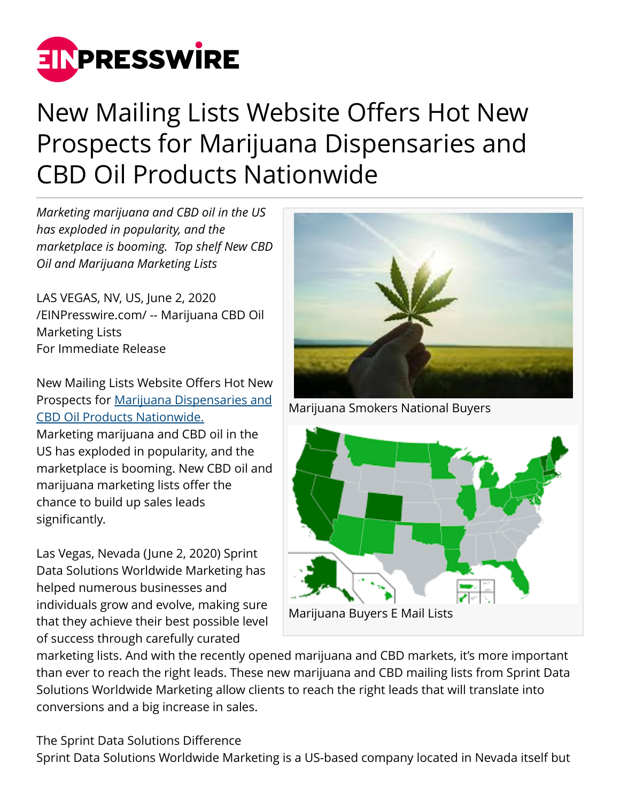

# New Mailing Lists Website Offers Hot New Prospects for Marijuana Dispensaries and CBD Oil Products Nationwide

*Marketing marijuana and CBD oil in the US has exploded in popularity, and the marketplace is booming. Top shelf New CBD Oil and Marijuana Marketing Lists*

LAS VEGAS, NV, US, June 2, 2020 [/EINPresswire.com/](http://www.einpresswire.com) -- Marijuana CBD Oil Marketing Lists For Immediate Release

New Mailing Lists Website Offers Hot New Prospects for [Marijuana Dispensaries and](https://www.sprintdatasolutions.com/) [CBD Oil Products Nationwide.](https://www.sprintdatasolutions.com/)

Marketing marijuana and CBD oil in the US has exploded in popularity, and the marketplace is booming. New CBD oil and marijuana marketing lists offer the chance to build up sales leads significantly.

Las Vegas, Nevada (June 2, 2020) Sprint Data Solutions Worldwide Marketing has helped numerous businesses and individuals grow and evolve, making sure that they achieve their best possible level of success through carefully curated



Marijuana Smokers National Buyers



marketing lists. And with the recently opened marijuana and CBD markets, it's more important than ever to reach the right leads. These new marijuana and CBD mailing lists from Sprint Data Solutions Worldwide Marketing allow clients to reach the right leads that will translate into conversions and a big increase in sales.

The Sprint Data Solutions Difference Sprint Data Solutions Worldwide Marketing is a US-based company located in Nevada itself but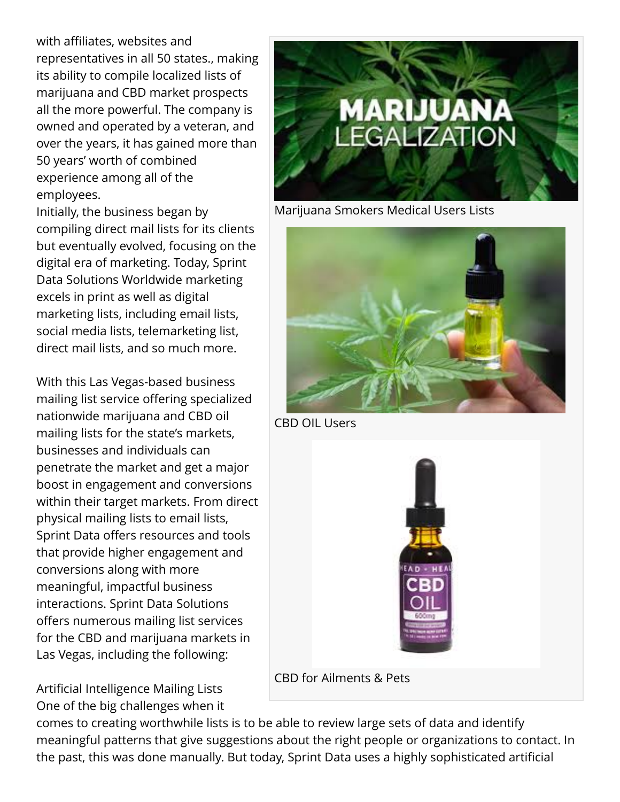with affiliates, websites and representatives in all 50 states., making its ability to compile localized lists of marijuana and CBD market prospects all the more powerful. The company is owned and operated by a veteran, and over the years, it has gained more than 50 years' worth of combined experience among all of the employees.

Initially, the business began by compiling direct mail lists for its clients but eventually evolved, focusing on the digital era of marketing. Today, Sprint Data Solutions Worldwide marketing excels in print as well as digital marketing lists, including email lists, social media lists, telemarketing list, direct mail lists, and so much more.

With this Las Vegas-based business mailing list service offering specialized nationwide marijuana and CBD oil mailing lists for the state's markets, businesses and individuals can penetrate the market and get a major boost in engagement and conversions within their target markets. From direct physical mailing lists to email lists, Sprint Data offers resources and tools that provide higher engagement and conversions along with more meaningful, impactful business interactions. Sprint Data Solutions offers numerous mailing list services for the CBD and marijuana markets in Las Vegas, including the following:

Artificial Intelligence Mailing Lists One of the big challenges when it



Marijuana Smokers Medical Users Lists



CBD OIL Users



comes to creating worthwhile lists is to be able to review large sets of data and identify meaningful patterns that give suggestions about the right people or organizations to contact. In the past, this was done manually. But today, Sprint Data uses a highly sophisticated artificial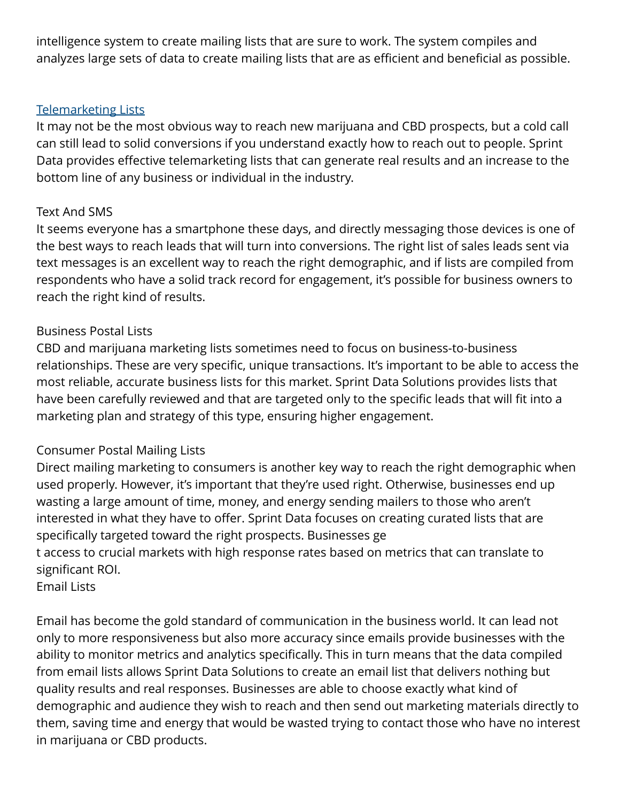intelligence system to create mailing lists that are sure to work. The system compiles and analyzes large sets of data to create mailing lists that are as efficient and beneficial as possible.

#### [Telemarketing Lists](https://www.sprintdatasolutions.com/live-call-transfers/)

It may not be the most obvious way to reach new marijuana and CBD prospects, but a cold call can still lead to solid conversions if you understand exactly how to reach out to people. Sprint Data provides effective telemarketing lists that can generate real results and an increase to the bottom line of any business or individual in the industry.

## Text And SMS

It seems everyone has a smartphone these days, and directly messaging those devices is one of the best ways to reach leads that will turn into conversions. The right list of sales leads sent via text messages is an excellent way to reach the right demographic, and if lists are compiled from respondents who have a solid track record for engagement, it's possible for business owners to reach the right kind of results.

### Business Postal Lists

CBD and marijuana marketing lists sometimes need to focus on business-to-business relationships. These are very specific, unique transactions. It's important to be able to access the most reliable, accurate business lists for this market. Sprint Data Solutions provides lists that have been carefully reviewed and that are targeted only to the specific leads that will fit into a marketing plan and strategy of this type, ensuring higher engagement.

## Consumer Postal Mailing Lists

Direct mailing marketing to consumers is another key way to reach the right demographic when used properly. However, it's important that they're used right. Otherwise, businesses end up wasting a large amount of time, money, and energy sending mailers to those who aren't interested in what they have to offer. Sprint Data focuses on creating curated lists that are specifically targeted toward the right prospects. Businesses ge t access to crucial markets with high response rates based on metrics that can translate to significant ROI.

Email Lists

Email has become the gold standard of communication in the business world. It can lead not only to more responsiveness but also more accuracy since emails provide businesses with the ability to monitor metrics and analytics specifically. This in turn means that the data compiled from email lists allows Sprint Data Solutions to create an email list that delivers nothing but quality results and real responses. Businesses are able to choose exactly what kind of demographic and audience they wish to reach and then send out marketing materials directly to them, saving time and energy that would be wasted trying to contact those who have no interest in marijuana or CBD products.